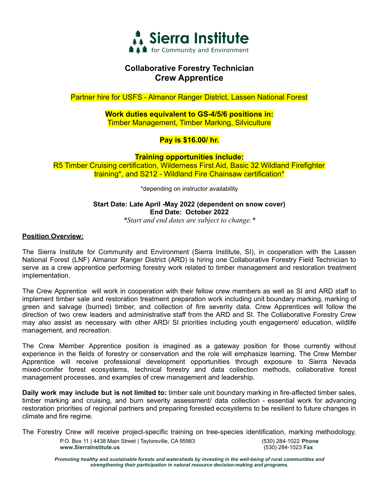

## **Collaborative Forestry Technician Crew Apprentice**

Partner hire for USFS - Almanor Ranger District, Lassen National Forest

**Work duties equivalent to GS-4/5/6 positions in:** Timber Management, Timber Marking, Silviculture

## **Pay is \$16.00/ hr.**

**Training opportunities include:** R5 Timber Cruising certification, Wilderness First Aid, Basic 32 Wildland Firefighter training\*, and S212 - Wildland Fire Chainsaw certification\*

\*depending on instructor availability

### **Start Date: Late April -May 2022 (dependent on snow cover) End Date: October 2022**

*\*Start and end dates are subject to change.\**

### **Position Overview:**

The Sierra Institute for Community and Environment (Sierra Institute, SI), in cooperation with the Lassen National Forest (LNF) Almanor Ranger District (ARD) is hiring one Collaborative Forestry Field Technician to serve as a crew apprentice performing forestry work related to timber management and restoration treatment implementation.

The Crew Apprentice will work in cooperation with their fellow crew members as well as SI and ARD staff to implement timber sale and restoration treatment preparation work including unit boundary marking, marking of green and salvage (burned) timber, and collection of fire severity data. Crew Apprentices will follow the direction of two crew leaders and administrative staff from the ARD and SI. The Collaborative Forestry Crew may also assist as necessary with other ARD/ SI priorities including youth engagement/ education, wildlife management, and recreation.

The Crew Member Apprentice position is imagined as a gateway position for those currently without experience in the fields of forestry or conservation and the role will emphasize learning. The Crew Member Apprentice will receive professional development opportunities through exposure to Sierra Nevada mixed-conifer forest ecosystems, technical forestry and data collection methods, collaborative forest management processes, and examples of crew management and leadership.

**Daily work may include but is not limited to:** timber sale unit boundary marking in fire-affected timber sales, timber marking and cruising, and burn severity assessment/ data collection - essential work for advancing restoration priorities of regional partners and preparing forested ecosystems to be resilient to future changes in climate and fire regime.

The Forestry Crew will receive project-specific training on tree-species identification, marking methodology, P.O. Box 11 | 4438 Main Street | Taylorsville, CA 95983 (530) 284-1022 **Phone www.SierraInstitute.us** (530) 284-1023 **Fax**

*Promoting healthy and sustainable forests and watersheds by investing in the well-being of rural communities and strengthening their participation in natural resource decision-making and programs.*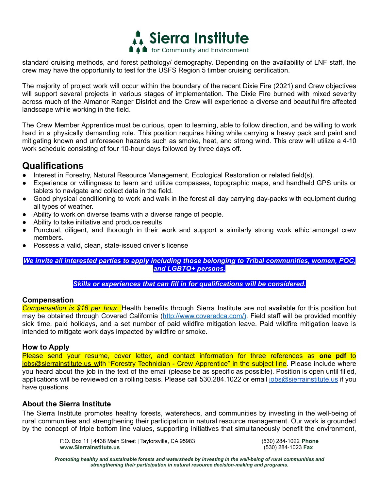

standard cruising methods, and forest pathology/ demography. Depending on the availability of LNF staff, the crew may have the opportunity to test for the USFS Region 5 timber cruising certification.

The majority of project work will occur within the boundary of the recent Dixie Fire (2021) and Crew objectives will support several projects in various stages of implementation. The Dixie Fire burned with mixed severity across much of the Almanor Ranger District and the Crew will experience a diverse and beautiful fire affected landscape while working in the field.

The Crew Member Apprentice must be curious, open to learning, able to follow direction, and be willing to work hard in a physically demanding role. This position requires hiking while carrying a heavy pack and paint and mitigating known and unforeseen hazards such as smoke, heat, and strong wind. This crew will utilize a 4-10 work schedule consisting of four 10-hour days followed by three days off.

# **Qualifications**

- Interest in Forestry, Natural Resource Management, Ecological Restoration or related field(s).
- Experience or willingness to learn and utilize compasses, topographic maps, and handheld GPS units or tablets to navigate and collect data in the field.
- Good physical conditioning to work and walk in the forest all day carrying day-packs with equipment during all types of weather.
- Ability to work on diverse teams with a diverse range of people.
- Ability to take initiative and produce results
- Punctual, diligent, and thorough in their work and support a similarly strong work ethic amongst crew members.
- Possess a valid, clean, state-issued driver's license

*We invite all interested parties to apply including those belonging to Tribal communities, women, POC, and LGBTQ+ persons.*

*Skills or experiences that can fill in for qualifications will be considered.*

#### **Compensation**

*Compensation is \$16 per hour.* Health benefits through Sierra Institute are not available for this position but may be obtained through Covered California (http://www.coveredca.com/). Field staff will be provided monthly sick time, paid holidays, and a set number of paid wildfire mitigation leave. Paid wildfire mitigation leave is intended to mitigate work days impacted by wildfire or smoke.

### **How to Apply**

Please send your resume, cover letter, and contact information for three references as **one pdf** to jobs@sierrainstitute.us with "Forestry Technician - Crew Apprentice" in the subject line. Please include where you heard about the job in the text of the email (please be as specific as possible). Position is open until filled, applications will be reviewed on a rolling basis. Please call 530.284.1022 or email jobs@sierrainstitute.us if you have questions.

### **About the Sierra Institute**

The Sierra Institute promotes healthy forests, watersheds, and communities by investing in the well-being of rural communities and strengthening their participation in natural resource management. Our work is grounded by the concept of triple bottom line values, supporting initiatives that simultaneously benefit the environment,

> P.O. Box 11 | 4438 Main Street | Taylorsville, CA 95983 (530) 284-1022 **Phone www.SierraInstitute.us** (530) 284-1023 **Fax**

*Promoting healthy and sustainable forests and watersheds by investing in the well-being of rural communities and strengthening their participation in natural resource decision-making and programs.*